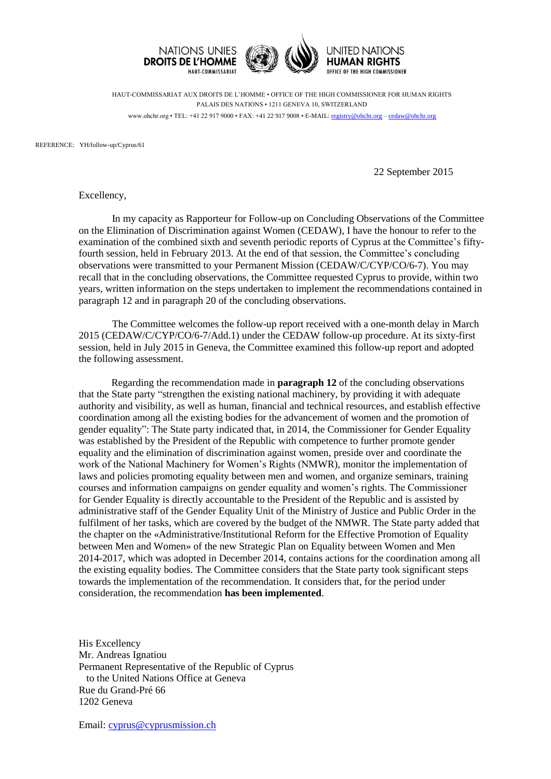

HAUT-COMMISSARIAT AUX DROITS DE L'HOMME • OFFICE OF THE HIGH COMMISSIONER FOR HUMAN RIGHTS PALAIS DES NATIONS • 1211 GENEVA 10, SWITZERLAND www.ohchr.org • TEL: +41 22 917 9000 • FAX: +41 22 917 9008 • E-MAIL: [registry@ohchr.org](mailto:registry@ohchr.org) – [cedaw@ohchr.org](mailto:cedaw@ohchr.org)

REFERENCE: YH/follow-up/Cyprus/61

22 September 2015

Excellency,

In my capacity as Rapporteur for Follow-up on Concluding Observations of the Committee on the Elimination of Discrimination against Women (CEDAW), I have the honour to refer to the examination of the combined sixth and seventh periodic reports of Cyprus at the Committee's fiftyfourth session, held in February 2013. At the end of that session, the Committee's concluding observations were transmitted to your Permanent Mission (CEDAW/C/CYP/CO/6-7). You may recall that in the concluding observations, the Committee requested Cyprus to provide, within two years, written information on the steps undertaken to implement the recommendations contained in paragraph 12 and in paragraph 20 of the concluding observations.

The Committee welcomes the follow-up report received with a one-month delay in March 2015 (CEDAW/C/CYP/CO/6-7/Add.1) under the CEDAW follow-up procedure. At its sixty-first session, held in July 2015 in Geneva, the Committee examined this follow-up report and adopted the following assessment.

Regarding the recommendation made in **paragraph 12** of the concluding observations that the State party "strengthen the existing national machinery, by providing it with adequate authority and visibility, as well as human, financial and technical resources, and establish effective coordination among all the existing bodies for the advancement of women and the promotion of gender equality": The State party indicated that, in 2014, the Commissioner for Gender Equality was established by the President of the Republic with competence to further promote gender equality and the elimination of discrimination against women, preside over and coordinate the work of the National Machinery for Women's Rights (NMWR), monitor the implementation of laws and policies promoting equality between men and women, and organize seminars, training courses and information campaigns on gender equality and women's rights. The Commissioner for Gender Equality is directly accountable to the President of the Republic and is assisted by administrative staff of the Gender Equality Unit of the Ministry of Justice and Public Order in the fulfilment of her tasks, which are covered by the budget of the NMWR. The State party added that the chapter on the «Administrative/Institutional Reform for the Effective Promotion of Equality between Men and Women» of the new Strategic Plan on Equality between Women and Men 2014-2017, which was adopted in December 2014, contains actions for the coordination among all the existing equality bodies. The Committee considers that the State party took significant steps towards the implementation of the recommendation. It considers that, for the period under consideration, the recommendation **has been implemented**.

His Excellency Mr. Andreas Ignatiou Permanent Representative of the Republic of Cyprus to the United Nations Office at Geneva Rue du Grand-Pré 66 1202 Geneva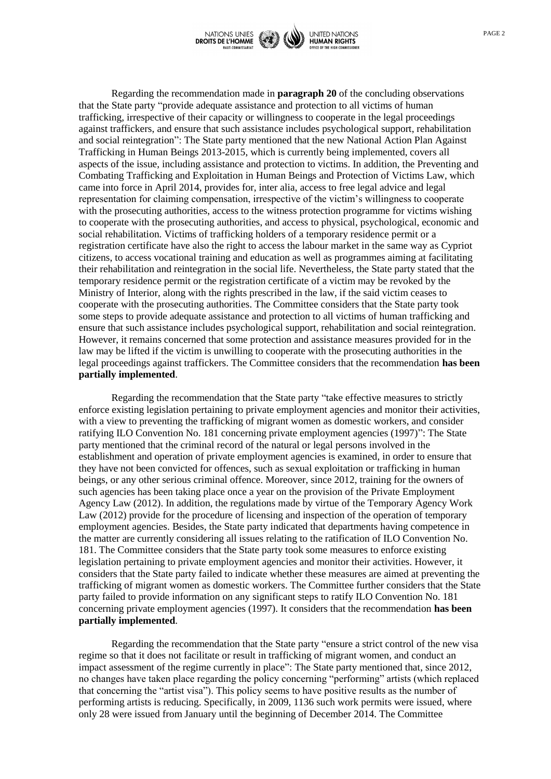

Regarding the recommendation made in **paragraph 20** of the concluding observations that the State party "provide adequate assistance and protection to all victims of human trafficking, irrespective of their capacity or willingness to cooperate in the legal proceedings against traffickers, and ensure that such assistance includes psychological support, rehabilitation and social reintegration": The State party mentioned that the new National Action Plan Against Trafficking in Human Beings 2013-2015, which is currently being implemented, covers all aspects of the issue, including assistance and protection to victims. In addition, the Preventing and Combating Trafficking and Exploitation in Human Beings and Protection of Victims Law, which came into force in April 2014, provides for, inter alia, access to free legal advice and legal representation for claiming compensation, irrespective of the victim's willingness to cooperate with the prosecuting authorities, access to the witness protection programme for victims wishing to cooperate with the prosecuting authorities, and access to physical, psychological, economic and social rehabilitation. Victims of trafficking holders of a temporary residence permit or a registration certificate have also the right to access the labour market in the same way as Cypriot citizens, to access vocational training and education as well as programmes aiming at facilitating their rehabilitation and reintegration in the social life. Nevertheless, the State party stated that the temporary residence permit or the registration certificate of a victim may be revoked by the Ministry of Interior, along with the rights prescribed in the law, if the said victim ceases to cooperate with the prosecuting authorities. The Committee considers that the State party took some steps to provide adequate assistance and protection to all victims of human trafficking and ensure that such assistance includes psychological support, rehabilitation and social reintegration. However, it remains concerned that some protection and assistance measures provided for in the law may be lifted if the victim is unwilling to cooperate with the prosecuting authorities in the legal proceedings against traffickers. The Committee considers that the recommendation **has been partially implemented**.

Regarding the recommendation that the State party "take effective measures to strictly enforce existing legislation pertaining to private employment agencies and monitor their activities, with a view to preventing the trafficking of migrant women as domestic workers, and consider ratifying ILO Convention No. 181 concerning private employment agencies (1997)": The State party mentioned that the criminal record of the natural or legal persons involved in the establishment and operation of private employment agencies is examined, in order to ensure that they have not been convicted for offences, such as sexual exploitation or trafficking in human beings, or any other serious criminal offence. Moreover, since 2012, training for the owners of such agencies has been taking place once a year on the provision of the Private Employment Agency Law (2012). In addition, the regulations made by virtue of the Temporary Agency Work Law (2012) provide for the procedure of licensing and inspection of the operation of temporary employment agencies. Besides, the State party indicated that departments having competence in the matter are currently considering all issues relating to the ratification of ILO Convention No. 181. The Committee considers that the State party took some measures to enforce existing legislation pertaining to private employment agencies and monitor their activities. However, it considers that the State party failed to indicate whether these measures are aimed at preventing the trafficking of migrant women as domestic workers. The Committee further considers that the State party failed to provide information on any significant steps to ratify ILO Convention No. 181 concerning private employment agencies (1997). It considers that the recommendation **has been partially implemented**.

Regarding the recommendation that the State party "ensure a strict control of the new visa regime so that it does not facilitate or result in trafficking of migrant women, and conduct an impact assessment of the regime currently in place": The State party mentioned that, since 2012, no changes have taken place regarding the policy concerning "performing" artists (which replaced that concerning the "artist visa"). This policy seems to have positive results as the number of performing artists is reducing. Specifically, in 2009, 1136 such work permits were issued, where only 28 were issued from January until the beginning of December 2014. The Committee